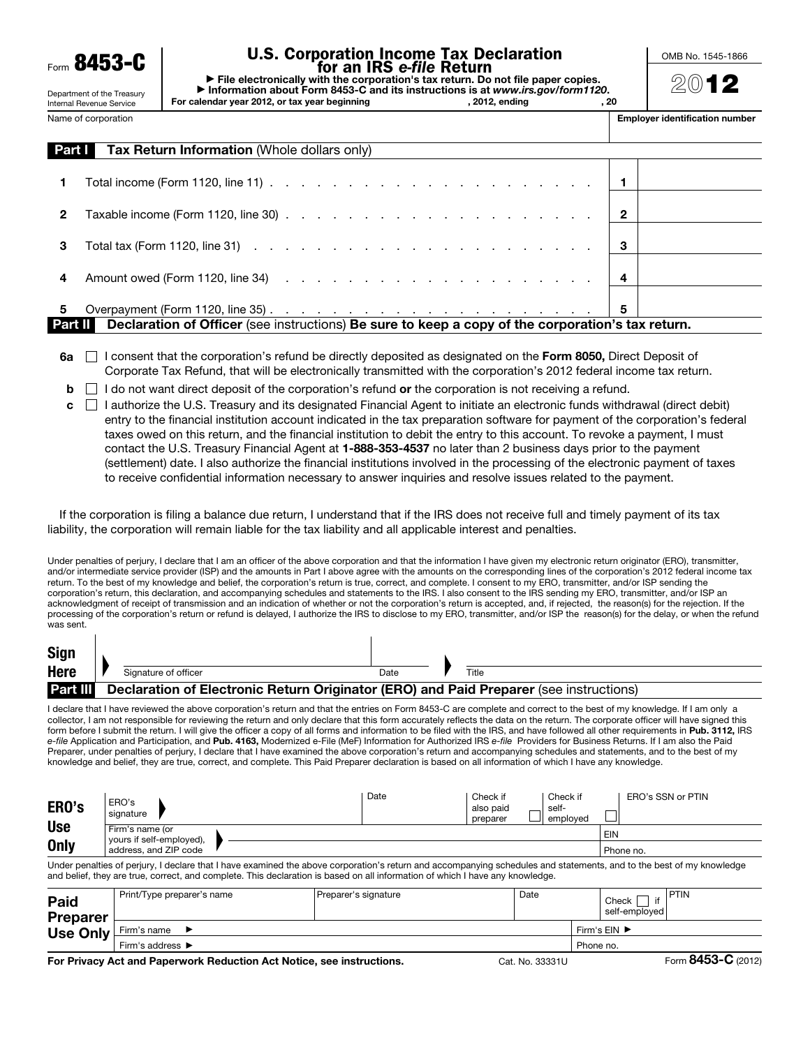**8453-C** 

# U.S. Corporation Income Tax Declaration for an IRS *e-file* Return

▶ File electronically with the corporation's tax return. Do not file paper copies. ▶ Information about Form 8453-C and its instructions is at *www.irs.gov/form1120*. For calendar year 2012, or tax year beginning

OMB No. 1545-1866

 $(20)$  1

Department of the Treasury Internal Revenue Service Name of corporation

| Employer identification number |  |
|--------------------------------|--|
|                                |  |

| Part I | <b>Tax Return Information (Whole dollars only)</b>                                                                                         |   |  |  |  |  |  |  |
|--------|--------------------------------------------------------------------------------------------------------------------------------------------|---|--|--|--|--|--|--|
|        | Total income (Form 1120, line 11) $\ldots$ $\ldots$ $\ldots$ $\ldots$ $\ldots$ $\ldots$ $\ldots$ $\ldots$ $\ldots$ $\ldots$ $\vdots$       |   |  |  |  |  |  |  |
| 2      | Taxable income (Form 1120, line 30) $\ldots$ $\ldots$ $\ldots$ $\ldots$ $\ldots$ $\ldots$ $\ldots$ $\ldots$ $\qquad$ 2                     |   |  |  |  |  |  |  |
| 3      | Total tax (Form 1120, line 31) $\cdots$ $\cdots$ $\cdots$ $\cdots$ $\cdots$ $\cdots$ $\cdots$ $\cdots$ $\cdots$ $\cdots$ $\cdots$ $\cdots$ |   |  |  |  |  |  |  |
| 4      |                                                                                                                                            |   |  |  |  |  |  |  |
| 5      |                                                                                                                                            | 5 |  |  |  |  |  |  |
|        | Declaration of Officer (see instructions) Be sure to keep a copy of the corporation's tax return.<br>Part II I                             |   |  |  |  |  |  |  |

 $6a \cap$  I consent that the corporation's refund be directly deposited as designated on the Form 8050, Direct Deposit of Corporate Tax Refund, that will be electronically transmitted with the corporation's 2012 federal income tax return.

- $\mathbf{b}$  I do not want direct deposit of the corporation's refund or the corporation is not receiving a refund.
- $c \Box$  I authorize the U.S. Treasury and its designated Financial Agent to initiate an electronic funds withdrawal (direct debit) entry to the financial institution account indicated in the tax preparation software for payment of the corporation's federal taxes owed on this return, and the financial institution to debit the entry to this account. To revoke a payment, I must contact the U.S. Treasury Financial Agent at 1-888-353-4537 no later than 2 business days prior to the payment (settlement) date. I also authorize the financial institutions involved in the processing of the electronic payment of taxes to receive confidential information necessary to answer inquiries and resolve issues related to the payment.

If the corporation is filing a balance due return, I understand that if the IRS does not receive full and timely payment of its tax liability, the corporation will remain liable for the tax liability and all applicable interest and penalties.

Under penalties of perjury, I declare that I am an officer of the above corporation and that the information I have given my electronic return originator (ERO), transmitter, and/or intermediate service provider (ISP) and the amounts in Part I above agree with the amounts on the corresponding lines of the corporation's 2012 federal income tax return. To the best of my knowledge and belief, the corporation's return is true, correct, and complete. I consent to my ERO, transmitter, and/or ISP sending the corporation's return, this declaration, and accompanying schedules and statements to the IRS. I also consent to the IRS sending my ERO, transmitter, and/or ISP an acknowledgment of receipt of transmission and an indication of whether or not the corporation's return is accepted, and, if rejected, the reason(s) for the rejection. If the processing of the corporation's return or refund is delayed, I authorize the IRS to disclose to my ERO, transmitter, and/or ISP the reason(s) for the delay, or when the refund was sent.

| <b>Sign</b>     |                                                                                        |      |       |
|-----------------|----------------------------------------------------------------------------------------|------|-------|
| <b>Here</b>     | Signature of officer                                                                   | Date | Title |
| <b>Part III</b> | Declaration of Electronic Return Originator (ERO) and Paid Preparer (see instructions) |      |       |
|                 |                                                                                        |      |       |

I declare that I have reviewed the above corporation's return and that the entries on Form 8453-C are complete and correct to the best of my knowledge. If I am only a collector, I am not responsible for reviewing the return and only declare that this form accurately reflects the data on the return. The corporate officer will have signed this form before I submit the return. I will give the officer a copy of all forms and information to be filed with the IRS, and have followed all other requirements in Pub. 3112, IRS *e-file* Application and Participation, and Pub. 4163, Modernized e-File (MeF) Information for Authorized IRS *e-file* Providers for Business Returns. If I am also the Paid Preparer, under penalties of perjury, I declare that I have examined the above corporation's return and accompanying schedules and statements, and to the best of my knowledge and belief, they are true, correct, and complete. This Paid Preparer declaration is based on all information of which I have any knowledge.

| ERO's       | ERO's<br>signature                          | Date | Check if<br>Check if<br>also paid<br>self-<br>emploved<br>preparer | ERO's SSN or PTIN |
|-------------|---------------------------------------------|------|--------------------------------------------------------------------|-------------------|
| <b>Use</b>  | Firm's name (or<br>yours if self-employed), |      |                                                                    | EIN               |
| <b>Only</b> | address, and ZIP code                       |      |                                                                    | Phone no.         |

Under penalties of perjury, I declare that I have examined the above corporation's return and accompanying schedules and statements, and to the best of my knowledge and belief, they are true, correct, and complete. This declaration is based on all information of which I have any knowledge.

| <b>Paid</b><br><b>Preparer</b> | Print/Type preparer's name                                              | Preparer's signature               | Date                          |  | Check<br>self-emploved | <b>IPTIN</b>                                                                                    |
|--------------------------------|-------------------------------------------------------------------------|------------------------------------|-------------------------------|--|------------------------|-------------------------------------------------------------------------------------------------|
| Use Only                       | Firm's name                                                             | Firm's $EIN$ $\blacktriangleright$ |                               |  |                        |                                                                                                 |
|                                | Firm's address $\blacktriangleright$                                    | Phone no.                          |                               |  |                        |                                                                                                 |
|                                | For Baltical Act and Bougained: Bodication Act Notice and Instanctions. |                                    | $\sim$ $\cdots$ $\sim$ $\sim$ |  |                        | $F_{\text{c}}$ $\Omega$ $\Lambda$ $\Omega$ <sub>-</sub> $\Omega$ <sub><math>(0010)</math></sub> |

For Privacy Act and Paperwork Reduction Act Notice, see instructions. Cat. No. 33331U Form 8453-C (2012)